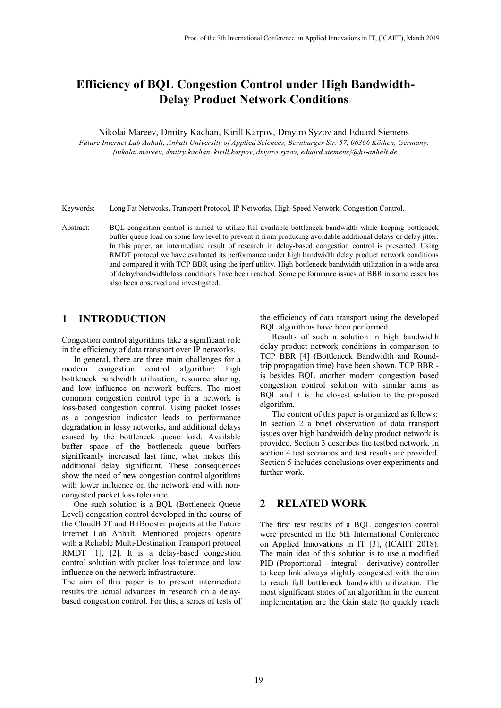# **Efficiency of BQL Congestion Control under High Bandwidth-Delay Product Network Conditions**

Nikolai Mareev, Dmitry Kachan, Kirill Karpov, Dmytro Syzov and Eduard Siemens

*Future Internet Lab Anhalt, Anhalt University of Applied Sciences, Bernburger Str. 57, 06366 Köthen, Germany, {nikolai.mareev, dmitry.kachan, kirill.karpov, dmytro.syzov, eduard.siemens}@hs-anhalt.de* 

Keywords: Long Fat Networks, Transport Protocol, IP Networks, High-Speed Network, Congestion Control.

Abstract: BQL congestion control is aimed to utilize full available bottleneck bandwidth while keeping bottleneck buffer queue load on some low level to prevent it from producing avoidable additional delays or delay jitter. In this paper, an intermediate result of research in delay-based congestion control is presented. Using RMDT protocol we have evaluated its performance under high bandwidth delay product network conditions and compared it with TCP BBR using the iperf utility. High bottleneck bandwidth utilization in a wide area of delay/bandwidth/loss conditions have been reached. Some performance issues of BBR in some cases has also been observed and investigated.

## **1 INTRODUCTION**

Congestion control algorithms take a significant role in the efficiency of data transport over IP networks.

In general, there are three main challenges for a modern congestion control algorithm: high bottleneck bandwidth utilization, resource sharing, and low influence on network buffers. The most common congestion control type in a network is loss-based congestion control. Using packet losses as a congestion indicator leads to performance degradation in lossy networks, and additional delays caused by the bottleneck queue load. Available buffer space of the bottleneck queue buffers significantly increased last time, what makes this additional delay significant. These consequences show the need of new congestion control algorithms with lower influence on the network and with noncongested packet loss tolerance.

One such solution is a BQL (Bottleneck Queue Level) congestion control developed in the course of the CloudBDT and BitBooster projects at the Future Internet Lab Anhalt. Mentioned projects operate with a Reliable Multi-Destination Transport protocol RMDT [1], [2]. It is a delay-based congestion control solution with packet loss tolerance and low influence on the network infrastructure.

The aim of this paper is to present intermediate results the actual advances in research on a delaybased congestion control. For this, a series of tests of the efficiency of data transport using the developed BQL algorithms have been performed.

Results of such a solution in high bandwidth delay product network conditions in comparison to TCP BBR [4] (Bottleneck Bandwidth and Roundtrip propagation time) have been shown. TCP BBR is besides BQL another modern congestion based congestion control solution with similar aims as BQL and it is the closest solution to the proposed algorithm.

The content of this paper is organized as follows: In section 2 a brief observation of data transport issues over high bandwidth delay product network is provided. Section 3 describes the testbed network. In section 4 test scenarios and test results are provided. Section 5 includes conclusions over experiments and further work.

## **2 RELATED WORK**

The first test results of a BQL congestion control were presented in the 6th International Conference on Applied Innovations in IT [3], (ICAIIT 2018). The main idea of this solution is to use a modified PID (Proportional – integral – derivative) controller to keep link always slightly congested with the aim to reach full bottleneck bandwidth utilization. The most significant states of an algorithm in the current implementation are the Gain state (to quickly reach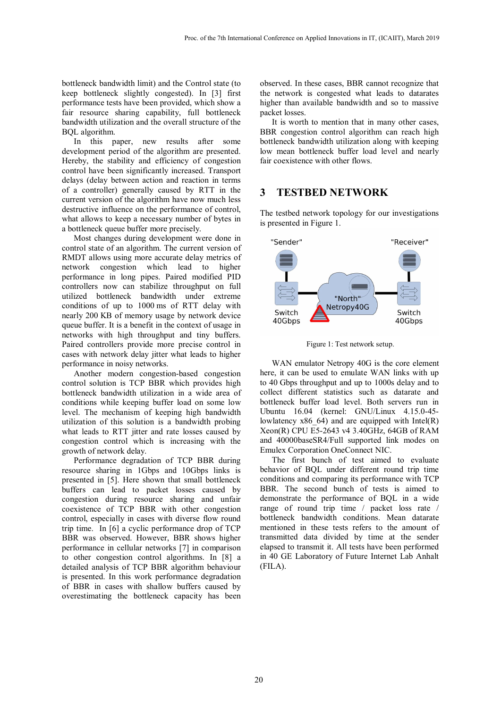bottleneck bandwidth limit) and the Control state (to keep bottleneck slightly congested). In [3] first performance tests have been provided, which show a fair resource sharing capability, full bottleneck bandwidth utilization and the overall structure of the BQL algorithm.

In this paper, new results after some development period of the algorithm are presented. Hereby, the stability and efficiency of congestion control have been significantly increased. Transport delays (delay between action and reaction in terms of a controller) generally caused by RTT in the current version of the algorithm have now much less destructive influence on the performance of control, what allows to keep a necessary number of bytes in a bottleneck queue buffer more precisely.

Most changes during development were done in control state of an algorithm. The current version of RMDT allows using more accurate delay metrics of network congestion which lead to higher performance in long pipes. Paired modified PID controllers now can stabilize throughput on full utilized bottleneck bandwidth under extreme conditions of up to 1000 ms of RTT delay with nearly 200 KB of memory usage by network device queue buffer. It is a benefit in the context of usage in networks with high throughput and tiny buffers. Paired controllers provide more precise control in cases with network delay jitter what leads to higher performance in noisy networks.

Another modern congestion-based congestion control solution is TCP BBR which provides high bottleneck bandwidth utilization in a wide area of conditions while keeping buffer load on some low level. The mechanism of keeping high bandwidth utilization of this solution is a bandwidth probing what leads to RTT jitter and rate losses caused by congestion control which is increasing with the growth of network delay.

Performance degradation of TCP BBR during resource sharing in 1Gbps and 10Gbps links is presented in [5]. Here shown that small bottleneck buffers can lead to packet losses caused by congestion during resource sharing and unfair coexistence of TCP BBR with other congestion control, especially in cases with diverse flow round trip time. In [6] a cyclic performance drop of TCP BBR was observed. However, BBR shows higher performance in cellular networks [7] in comparison to other congestion control algorithms. In [8] a detailed analysis of TCP BBR algorithm behaviour is presented. In this work performance degradation of BBR in cases with shallow buffers caused by overestimating the bottleneck capacity has been

observed. In these cases, BBR cannot recognize that the network is congested what leads to datarates higher than available bandwidth and so to massive packet losses.

It is worth to mention that in many other cases, BBR congestion control algorithm can reach high bottleneck bandwidth utilization along with keeping low mean bottleneck buffer load level and nearly fair coexistence with other flows.

#### **3 TESTBED NETWORK**

The testbed network topology for our investigations is presented in Figure 1.



Figure 1: Test network setup.

WAN emulator Netropy 40G is the core element here, it can be used to emulate WAN links with up to 40 Gbps throughput and up to 1000s delay and to collect different statistics such as datarate and bottleneck buffer load level. Both servers run in Ubuntu 16.04 (kernel: GNU/Linux 4.15.0-45 lowlatency  $x86\,64$ ) and are equipped with Intel(R) Xeon(R) CPU E5-2643 v4 3.40GHz, 64GB of RAM and 40000baseSR4/Full supported link modes on Emulex Corporation OneConnect NIC.

The first bunch of test aimed to evaluate behavior of BQL under different round trip time conditions and comparing its performance with TCP BBR. The second bunch of tests is aimed to demonstrate the performance of BQL in a wide range of round trip time / packet loss rate / bottleneck bandwidth conditions. Mean datarate mentioned in these tests refers to the amount of transmitted data divided by time at the sender elapsed to transmit it. All tests have been performed in 40 GE Laboratory of Future Internet Lab Anhalt (FILA).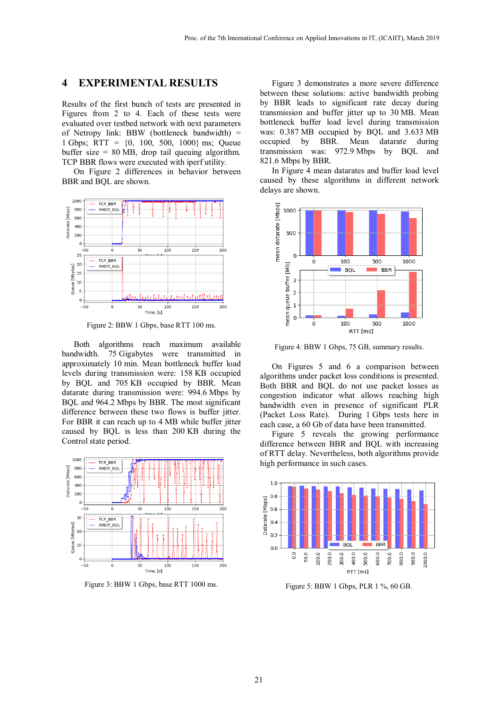## **4 EXPERIMENTAL RESULTS**

Results of the first bunch of tests are presented in Figures from 2 to 4. Each of these tests were evaluated over testbed network with next parameters of Netropy link: BBW (bottleneck bandwidth) = 1 Gbps; RTT =  $\{0, 100, 500, 1000\}$  ms; Queue buffer size = 80 MB, drop tail queuing algorithm. TCP BBR flows were executed with iperf utility.

On Figure 2 differences in behavior between BBR and BQL are shown.



Figure 2: BBW 1 Gbps, base RTT 100 ms.

Both algorithms reach maximum available bandwidth. 75 Gigabytes were transmitted in approximately 10 min. Mean bottleneck buffer load levels during transmission were: 158 KB occupied by BQL and 705 KB occupied by BBR. Mean datarate during transmission were: 994.6 Mbps by BQL and 964.2 Mbps by BBR. The most significant difference between these two flows is buffer jitter. For BBR it can reach up to 4 MB while buffer jitter caused by BQL is less than 200 KB during the Control state period.



Figure 3: BBW 1 Gbps, base RTT 1000 ms.

Figure 3 demonstrates a more severe difference between these solutions: active bandwidth probing by BBR leads to significant rate decay during transmission and buffer jitter up to 30 MB. Mean bottleneck buffer load level during transmission was: 0.387 MB occupied by BQL and 3.633 MB occupied by BBR. Mean datarate during transmission was: 972.9 Mbps by BQL and 821.6 Mbps by BBR.

In Figure 4 mean datarates and buffer load level caused by these algorithms in different network delays are shown.



Figure 4: BBW 1 Gbps, 75 GB, summary results.

On Figures 5 and 6 a comparison between algorithms under packet loss conditions is presented. Both BBR and BQL do not use packet losses as congestion indicator what allows reaching high bandwidth even in presence of significant PLR (Packet Loss Rate). During 1 Gbps tests here in each case, a 60 Gb of data have been transmitted.

Figure 5 reveals the growing performance difference between BBR and BQL with increasing of RTT delay. Nevertheless, both algorithms provide high performance in such cases.



Figure 5: BBW 1 Gbps, PLR 1 %, 60 GB.